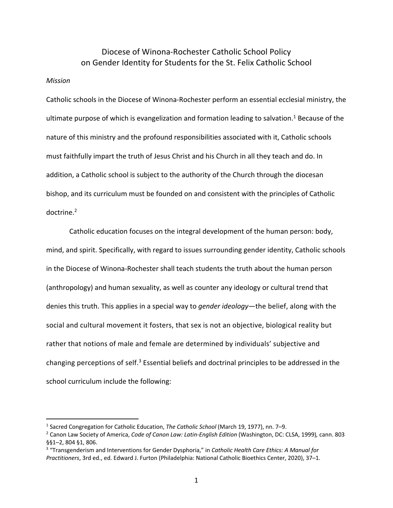## Diocese of Winona-Rochester Catholic School Policy on Gender Identity for Students for the St. Felix Catholic School

## *Mission*

Catholic schools in the Diocese of Winona-Rochester perform an essential ecclesial ministry, the ultimate purpose of which is evangelization and formation leading to salvation.<sup>1</sup> Because of the nature of this ministry and the profound responsibilities associated with it, Catholic schools must faithfully impart the truth of Jesus Christ and his Church in all they teach and do. In addition, a Catholic school is subject to the authority of the Church through the diocesan bishop, and its curriculum must be founded on and consistent with the principles of Catholic doctrine. 2

Catholic education focuses on the integral development of the human person: body, mind, and spirit. Specifically, with regard to issues surrounding gender identity, Catholic schools in the Diocese of Winona-Rochester shall teach students the truth about the human person (anthropology) and human sexuality, as well as counter any ideology or cultural trend that denies this truth. This applies in a special way to *gender ideology*—the belief, along with the social and cultural movement it fosters, that sex is not an objective, biological reality but rather that notions of male and female are determined by individuals' subjective and changing perceptions of self.<sup>3</sup> Essential beliefs and doctrinal principles to be addressed in the school curriculum include the following:

<sup>&</sup>lt;sup>1</sup> Sacred Congregation for Catholic Education, The Catholic School (March 19, 1977), nn. 7–9.<br><sup>2</sup> Canon Law Society of America, *Code of Canon Law: Latin-English Edition* (Washington, DC: CLSA, 1999), cann. 803 §§1–2, 804 §1, 806.

<sup>3</sup> "Transgenderism and Interventions for Gender Dysphoria," in *Catholic Health Care Ethics: A Manual for Practitioners*, 3rd ed., ed. Edward J. Furton (Philadelphia: National Catholic Bioethics Center, 2020), 37–1.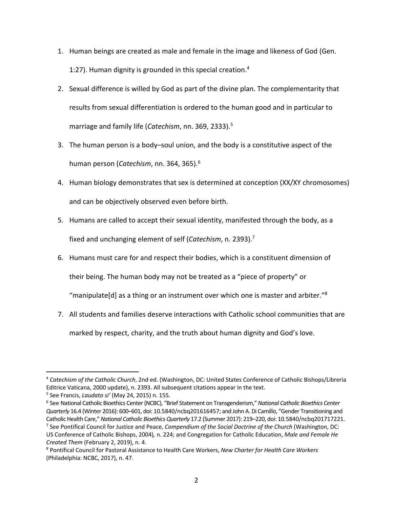- 1. Human beings are created as male and female in the image and likeness of God (Gen. 1:27). Human dignity is grounded in this special creation.4
- 2. Sexual difference is willed by God as part of the divine plan. The complementarity that results from sexual differentiation is ordered to the human good and in particular to marriage and family life (*Catechism*, nn. 369, 2333). 5
- 3. The human person is a body–soul union, and the body is a constitutive aspect of the human person (*Catechism*, nn. 364, 365). 6
- 4. Human biology demonstrates that sex is determined at conception (XX/XY chromosomes) and can be objectively observed even before birth.
- 5. Humans are called to accept their sexual identity, manifested through the body, as a fixed and unchanging element of self (*Catechism*, n. 2393). 7
- 6. Humans must care for and respect their bodies, which is a constituent dimension of

their being. The human body may not be treated as a "piece of property" or

"manipulate[d] as a thing or an instrument over which one is master and arbiter."8

7. All students and families deserve interactions with Catholic school communities that are marked by respect, charity, and the truth about human dignity and God's love.

<sup>4</sup> *Catechism of the Catholic Church*, 2nd ed. (Washington, DC: United States Conference of Catholic Bishops/Libreria Editrice Vaticana, 2000 update), n. 2393. All subsequent citations appear in the text.

<sup>5</sup> See Francis, *Laudato si'* (May 24, 2015) n. 155.

<sup>6</sup> See National Catholic Bioethics Center(NCBC), "Brief Statement on Transgenderism," *National Catholic Bioethics Center Quarterly* 16.4 (Winter 2016): 600–601, doi: 10.5840/ncbq201616457; and John A. Di Camillo, "Gender Transitioning and Catholic Health Care," *National Catholic Bioethics Quarterly* 17.2 (Summer 2017): 219–220, doi: 10.5840/ncbq201717221.

<sup>7</sup> See Pontifical Council for Justice and Peace, *Compendium of the Social Doctrine of the Church* (Washington, DC: US Conference of Catholic Bishops, 2004)*,* n. 224; and Congregation for Catholic Education, *Male and Female He Created Them* (February 2, 2019), n. 4.

<sup>8</sup> Pontifical Council for Pastoral Assistance to Health Care Workers, *New Charter for Health Care Workers* (Philadelphia: NCBC, 2017), n. 47.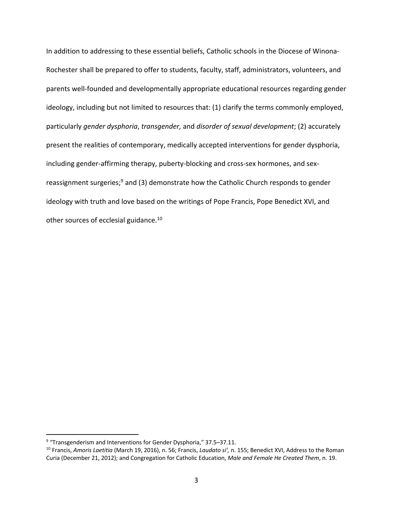In addition to addressing to these essential beliefs, Catholic schools in the Diocese of Winona-Rochester shall be prepared to offer to students, faculty, staff, administrators, volunteers, and parents well-founded and developmentally appropriate educational resources regarding gender ideology, including but not limited to resources that: (1) clarify the terms commonly employed, particularly *gender dysphoria*, *transgender,* and *disorder of sexual development*; (2) accurately present the realities of contemporary, medically accepted interventions for gender dysphoria, including gender-affirming therapy, puberty-blocking and cross-sex hormones, and sexreassignment surgeries;<sup>9</sup> and (3) demonstrate how the Catholic Church responds to gender ideology with truth and love based on the writings of Pope Francis, Pope Benedict XVI, and other sources of ecclesial guidance.<sup>10</sup>

<sup>9</sup> "Transgenderism and Interventions for Gender Dysphoria," 37.5–37.11.

<sup>10</sup> Francis, *Amoris Laetitia* (March 19, 2016), n. 56; Francis, *Laudato si',* n. 155; Benedict XVI, Address to the Roman Curia (December 21, 2012); and Congregation for Catholic Education, *Male and Female He Created Them*, n. 19.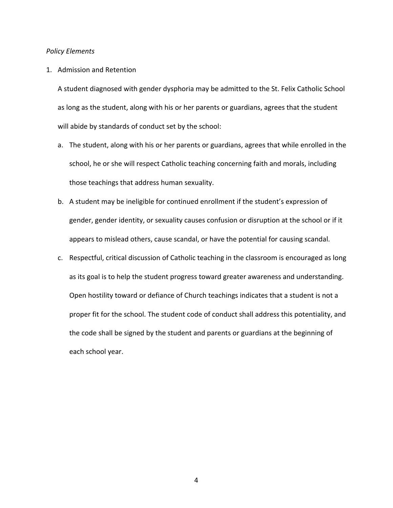## *Policy Elements*

## 1. Admission and Retention

A student diagnosed with gender dysphoria may be admitted to the St. Felix Catholic School as long as the student, along with his or her parents or guardians, agrees that the student will abide by standards of conduct set by the school:

- a. The student, along with his or her parents or guardians, agrees that while enrolled in the school, he or she will respect Catholic teaching concerning faith and morals, including those teachings that address human sexuality.
- b. A student may be ineligible for continued enrollment if the student's expression of gender, gender identity, or sexuality causes confusion or disruption at the school or if it appears to mislead others, cause scandal, or have the potential for causing scandal.
- c. Respectful, critical discussion of Catholic teaching in the classroom is encouraged as long as its goal is to help the student progress toward greater awareness and understanding. Open hostility toward or defiance of Church teachings indicates that a student is not a proper fit for the school. The student code of conduct shall address this potentiality, and the code shall be signed by the student and parents or guardians at the beginning of each school year.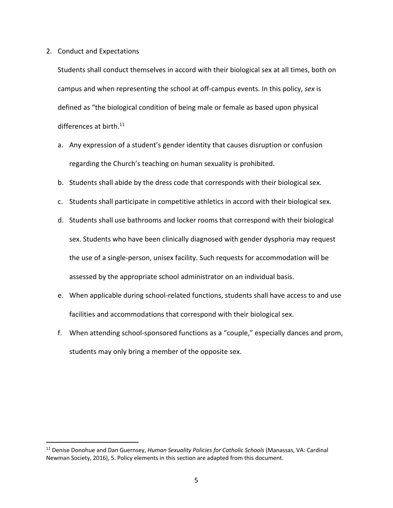2. Conduct and Expectations

Students shall conduct themselves in accord with their biological sex at all times, both on campus and when representing the school at off-campus events. In this policy, *sex* is defined as "the biological condition of being male or female as based upon physical differences at birth.<sup>11</sup>

- a. Any expression of a student's gender identity that causes disruption or confusion regarding the Church's teaching on human sexuality is prohibited.
- b. Students shall abide by the dress code that corresponds with their biological sex.
- c. Students shall participate in competitive athletics in accord with their biological sex.
- d. Students shall use bathrooms and locker rooms that correspond with their biological sex. Students who have been clinically diagnosed with gender dysphoria may request the use of a single-person, unisex facility. Such requests for accommodation will be assessed by the appropriate school administrator on an individual basis.
- e. When applicable during school-related functions, students shall have access to and use facilities and accommodations that correspond with their biological sex.
- f. When attending school-sponsored functions as a "couple," especially dances and prom, students may only bring a member of the opposite sex.

<sup>11</sup> Denise Donohue and Dan Guernsey, *Human Sexuality Policies for Catholic Schools* (Manassas, VA: Cardinal Newman Society, 2016), 5. Policy elements in this section are adapted from this document.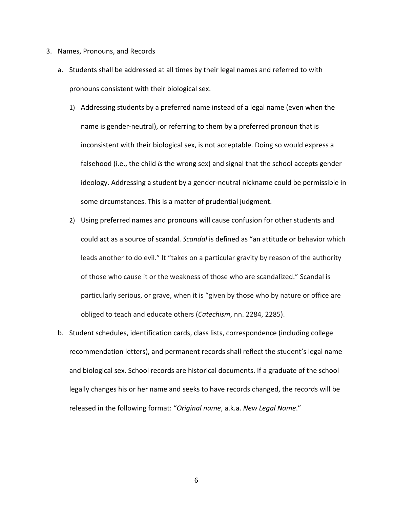- 3. Names, Pronouns, and Records
	- a. Students shall be addressed at all times by their legal names and referred to with pronouns consistent with their biological sex.
		- 1) Addressing students by a preferred name instead of a legal name (even when the name is gender-neutral), or referring to them by a preferred pronoun that is inconsistent with their biological sex, is not acceptable. Doing so would express a falsehood (i.e., the child *is* the wrong sex) and signal that the school accepts gender ideology. Addressing a student by a gender-neutral nickname could be permissible in some circumstances. This is a matter of prudential judgment.
		- 2) Using preferred names and pronouns will cause confusion for other students and could act as a source of scandal. *Scandal* is defined as "an attitude or behavior which leads another to do evil." It "takes on a particular gravity by reason of the authority of those who cause it or the weakness of those who are scandalized." Scandal is particularly serious, or grave, when it is "given by those who by nature or office are obliged to teach and educate others (*Catechism*, nn. 2284, 2285).
	- b. Student schedules, identification cards, class lists, correspondence (including college recommendation letters), and permanent records shall reflect the student's legal name and biological sex. School records are historical documents. If a graduate of the school legally changes his or her name and seeks to have records changed, the records will be released in the following format: "*Original name*, a.k.a. *New Legal Name*."

6